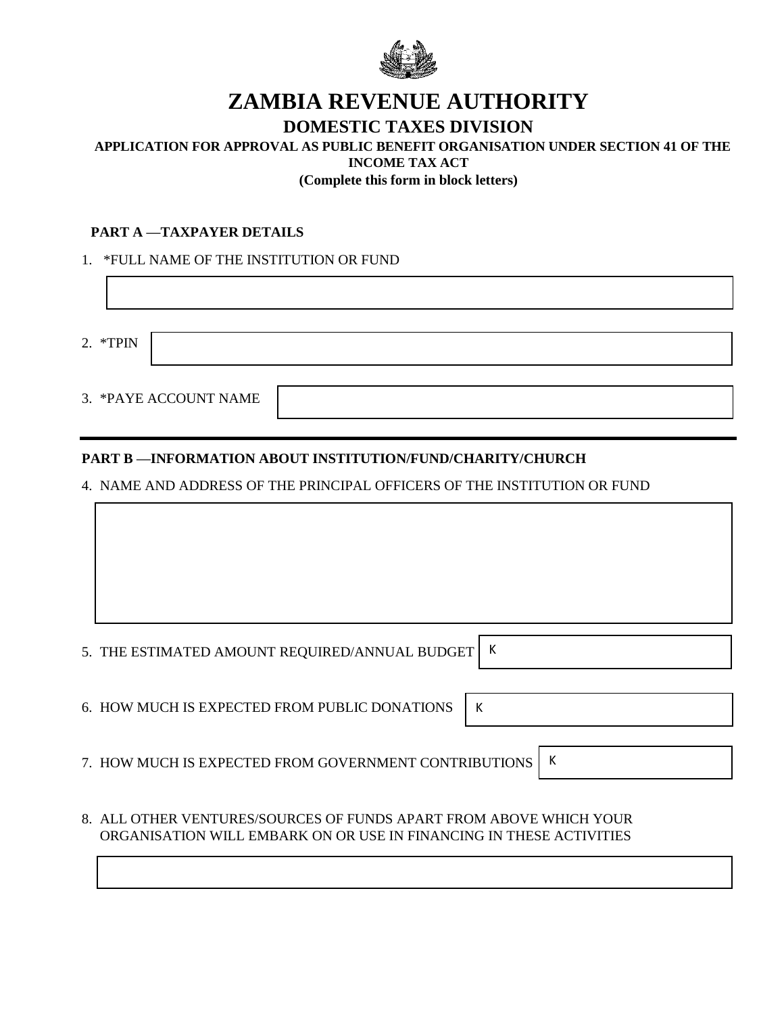

# **ZAMBIA REVENUE AUTHORITY**

## **DOMESTIC TAXES DIVISION**

# **APPLICATION FOR APPROVAL AS PUBLIC BENEFIT ORGANISATION UNDER SECTION 41 OF THE**

**INCOME TAX ACT**

**(Complete this form in block letters)**

#### **PART A —TAXPAYER DETAILS**

1. \*FULL NAME OF THE INSTITUTION OR FUND

2. \*TPIN

|  |  | 3. *PAYE ACCOUNT NAME |  |
|--|--|-----------------------|--|
|--|--|-----------------------|--|

### **PART B —INFORMATION ABOUT INSTITUTION/FUND/CHARITY/CHURCH**

4. NAME AND ADDRESS OF THE PRINCIPAL OFFICERS OF THE INSTITUTION OR FUND

| 5. THE ESTIMATED AMOUNT REQUIRED/ANNUAL BUDGET   K |  |
|----------------------------------------------------|--|

K

6. HOW MUCH IS EXPECTED FROM PUBLIC DONATIONS

7. HOW MUCH IS EXPECTED FROM GOVERNMENT CONTRIBUTIONS K

8. ALL OTHER VENTURES/SOURCES OF FUNDS APART FROM ABOVE WHICH YOUR ORGANISATION WILL EMBARK ON OR USE IN FINANCING IN THESE ACTIVITIES